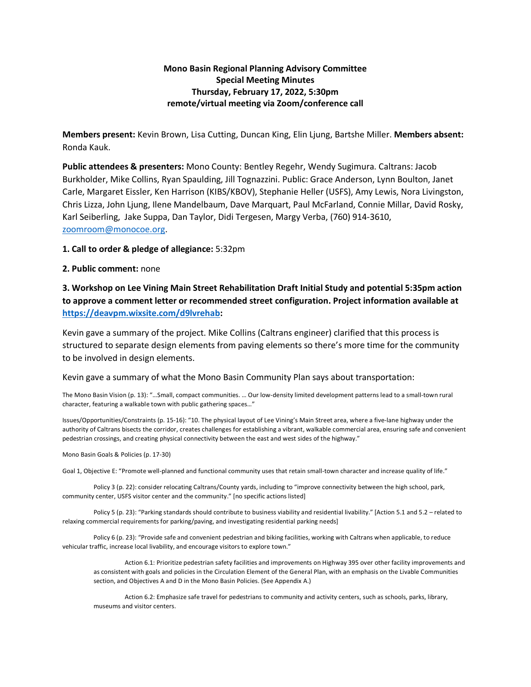## **Mono Basin Regional Planning Advisory Committee Special Meeting Minutes Thursday, February 17, 2022, 5:30pm remote/virtual meeting via Zoom/conference call**

**Members present:** Kevin Brown, Lisa Cutting, Duncan King, Elin Ljung, Bartshe Miller. **Members absent:** Ronda Kauk.

**Public attendees & presenters:** Mono County: Bentley Regehr, Wendy Sugimura. Caltrans: Jacob Burkholder, Mike Collins, Ryan Spaulding, Jill Tognazzini. Public: Grace Anderson, Lynn Boulton, Janet Carle, Margaret Eissler, Ken Harrison (KIBS/KBOV), Stephanie Heller (USFS), Amy Lewis, Nora Livingston, Chris Lizza, John Ljung, Ilene Mandelbaum, Dave Marquart, Paul McFarland, Connie Millar, David Rosky, Karl Seiberling, Jake Suppa, Dan Taylor, Didi Tergesen, Margy Verba, (760) 914-3610, [zoomroom@monocoe.org.](mailto:zoomroom@monocoe.org)

**1. Call to order & pledge of allegiance:** 5:32pm

## **2. Public comment:** none

## **3. Workshop on Lee Vining Main Street Rehabilitation Draft Initial Study and potential 5:35pm action to approve a comment letter or recommended street configuration. Project information available at [https://deavpm.wixsite.com/d9lvrehab:](https://deavpm.wixsite.com/d9lvrehab)**

Kevin gave a summary of the project. Mike Collins (Caltrans engineer) clarified that this process is structured to separate design elements from paving elements so there's more time for the community to be involved in design elements.

Kevin gave a summary of what the Mono Basin Community Plan says about transportation:

The Mono Basin Vision (p. 13): "…Small, compact communities. … Our low-density limited development patterns lead to a small-town rural character, featuring a walkable town with public gathering spaces…"

Issues/Opportunities/Constraints (p. 15-16): "10. The physical layout of Lee Vining's Main Street area, where a five-lane highway under the authority of Caltrans bisects the corridor, creates challenges for establishing a vibrant, walkable commercial area, ensuring safe and convenient pedestrian crossings, and creating physical connectivity between the east and west sides of the highway."

Mono Basin Goals & Policies (p. 17-30)

Goal 1, Objective E: "Promote well-planned and functional community uses that retain small-town character and increase quality of life."

Policy 3 (p. 22): consider relocating Caltrans/County yards, including to "improve connectivity between the high school, park, community center, USFS visitor center and the community." [no specific actions listed]

Policy 5 (p. 23): "Parking standards should contribute to business viability and residential livability." [Action 5.1 and 5.2 – related to relaxing commercial requirements for parking/paving, and investigating residential parking needs]

Policy 6 (p. 23): "Provide safe and convenient pedestrian and biking facilities, working with Caltrans when applicable, to reduce vehicular traffic, increase local livability, and encourage visitors to explore town."

Action 6.1: Prioritize pedestrian safety facilities and improvements on Highway 395 over other facility improvements and as consistent with goals and policies in the Circulation Element of the General Plan, with an emphasis on the Livable Communities section, and Objectives A and D in the Mono Basin Policies. (See Appendix A.)

Action 6.2: Emphasize safe travel for pedestrians to community and activity centers, such as schools, parks, library, museums and visitor centers.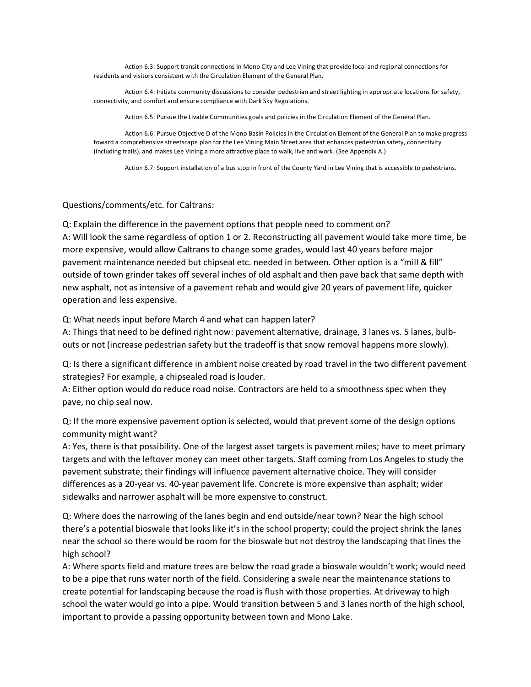Action 6.3: Support transit connections in Mono City and Lee Vining that provide local and regional connections for residents and visitors consistent with the Circulation Element of the General Plan.

Action 6.4: Initiate community discussions to consider pedestrian and street lighting in appropriate locations for safety, connectivity, and comfort and ensure compliance with Dark Sky Regulations.

Action 6.5: Pursue the Livable Communities goals and policies in the Circulation Element of the General Plan.

Action 6.6: Pursue Objective D of the Mono Basin Policies in the Circulation Element of the General Plan to make progress toward a comprehensive streetscape plan for the Lee Vining Main Street area that enhances pedestrian safety, connectivity (including trails), and makes Lee Vining a more attractive place to walk, live and work. (See Appendix A.)

Action 6.7: Support installation of a bus stop in front of the County Yard in Lee Vining that is accessible to pedestrians.

## Questions/comments/etc. for Caltrans:

Q: Explain the difference in the pavement options that people need to comment on? A: Will look the same regardless of option 1 or 2. Reconstructing all pavement would take more time, be more expensive, would allow Caltrans to change some grades, would last 40 years before major pavement maintenance needed but chipseal etc. needed in between. Other option is a "mill & fill" outside of town grinder takes off several inches of old asphalt and then pave back that same depth with new asphalt, not as intensive of a pavement rehab and would give 20 years of pavement life, quicker operation and less expensive.

Q: What needs input before March 4 and what can happen later?

A: Things that need to be defined right now: pavement alternative, drainage, 3 lanes vs. 5 lanes, bulbouts or not (increase pedestrian safety but the tradeoff is that snow removal happens more slowly).

Q: Is there a significant difference in ambient noise created by road travel in the two different pavement strategies? For example, a chipsealed road is louder.

A: Either option would do reduce road noise. Contractors are held to a smoothness spec when they pave, no chip seal now.

Q: If the more expensive pavement option is selected, would that prevent some of the design options community might want?

A: Yes, there is that possibility. One of the largest asset targets is pavement miles; have to meet primary targets and with the leftover money can meet other targets. Staff coming from Los Angeles to study the pavement substrate; their findings will influence pavement alternative choice. They will consider differences as a 20-year vs. 40-year pavement life. Concrete is more expensive than asphalt; wider sidewalks and narrower asphalt will be more expensive to construct.

Q: Where does the narrowing of the lanes begin and end outside/near town? Near the high school there's a potential bioswale that looks like it's in the school property; could the project shrink the lanes near the school so there would be room for the bioswale but not destroy the landscaping that lines the high school?

A: Where sports field and mature trees are below the road grade a bioswale wouldn't work; would need to be a pipe that runs water north of the field. Considering a swale near the maintenance stations to create potential for landscaping because the road is flush with those properties. At driveway to high school the water would go into a pipe. Would transition between 5 and 3 lanes north of the high school, important to provide a passing opportunity between town and Mono Lake.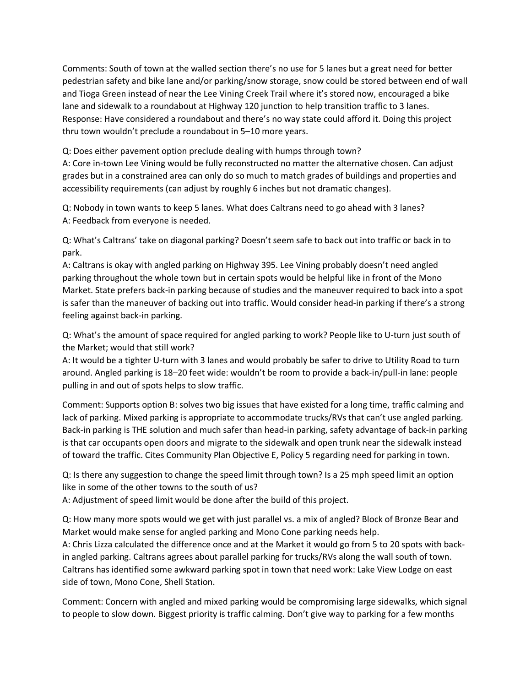Comments: South of town at the walled section there's no use for 5 lanes but a great need for better pedestrian safety and bike lane and/or parking/snow storage, snow could be stored between end of wall and Tioga Green instead of near the Lee Vining Creek Trail where it's stored now, encouraged a bike lane and sidewalk to a roundabout at Highway 120 junction to help transition traffic to 3 lanes. Response: Have considered a roundabout and there's no way state could afford it. Doing this project thru town wouldn't preclude a roundabout in 5–10 more years.

Q: Does either pavement option preclude dealing with humps through town?

A: Core in-town Lee Vining would be fully reconstructed no matter the alternative chosen. Can adjust grades but in a constrained area can only do so much to match grades of buildings and properties and accessibility requirements (can adjust by roughly 6 inches but not dramatic changes).

Q: Nobody in town wants to keep 5 lanes. What does Caltrans need to go ahead with 3 lanes? A: Feedback from everyone is needed.

Q: What's Caltrans' take on diagonal parking? Doesn't seem safe to back out into traffic or back in to park.

A: Caltrans is okay with angled parking on Highway 395. Lee Vining probably doesn't need angled parking throughout the whole town but in certain spots would be helpful like in front of the Mono Market. State prefers back-in parking because of studies and the maneuver required to back into a spot is safer than the maneuver of backing out into traffic. Would consider head-in parking if there's a strong feeling against back-in parking.

Q: What's the amount of space required for angled parking to work? People like to U-turn just south of the Market; would that still work?

A: It would be a tighter U-turn with 3 lanes and would probably be safer to drive to Utility Road to turn around. Angled parking is 18–20 feet wide: wouldn't be room to provide a back-in/pull-in lane: people pulling in and out of spots helps to slow traffic.

Comment: Supports option B: solves two big issues that have existed for a long time, traffic calming and lack of parking. Mixed parking is appropriate to accommodate trucks/RVs that can't use angled parking. Back-in parking is THE solution and much safer than head-in parking, safety advantage of back-in parking is that car occupants open doors and migrate to the sidewalk and open trunk near the sidewalk instead of toward the traffic. Cites Community Plan Objective E, Policy 5 regarding need for parking in town.

Q: Is there any suggestion to change the speed limit through town? Is a 25 mph speed limit an option like in some of the other towns to the south of us?

A: Adjustment of speed limit would be done after the build of this project.

Q: How many more spots would we get with just parallel vs. a mix of angled? Block of Bronze Bear and Market would make sense for angled parking and Mono Cone parking needs help.

A: Chris Lizza calculated the difference once and at the Market it would go from 5 to 20 spots with backin angled parking. Caltrans agrees about parallel parking for trucks/RVs along the wall south of town. Caltrans has identified some awkward parking spot in town that need work: Lake View Lodge on east side of town, Mono Cone, Shell Station.

Comment: Concern with angled and mixed parking would be compromising large sidewalks, which signal to people to slow down. Biggest priority is traffic calming. Don't give way to parking for a few months